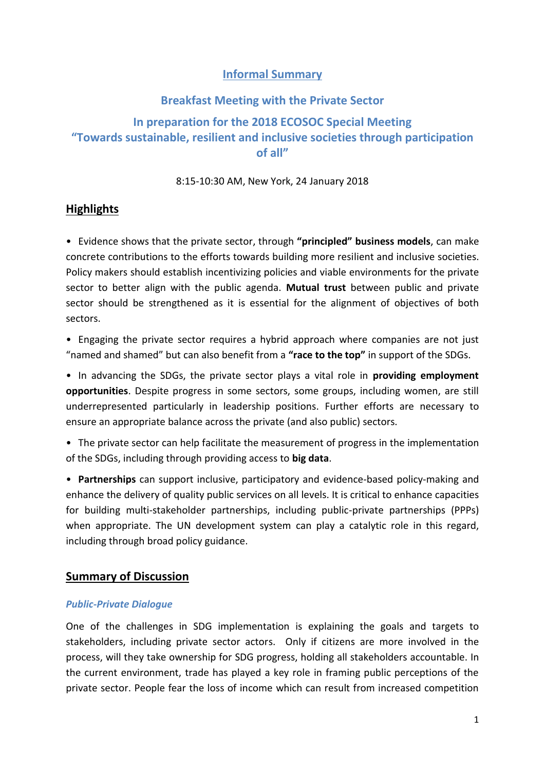## **Informal Summary**

# **Breakfast Meeting with the Private Sector In preparation for the 2018 ECOSOC Special Meeting "Towards sustainable, resilient and inclusive societies through participation of all"**

### 8:15-10:30 AM, New York, 24 January 2018

## **Highlights**

• Evidence shows that the private sector, through **"principled" business models**, can make concrete contributions to the efforts towards building more resilient and inclusive societies. Policy makers should establish incentivizing policies and viable environments for the private sector to better align with the public agenda. **Mutual trust** between public and private sector should be strengthened as it is essential for the alignment of objectives of both sectors.

• Engaging the private sector requires a hybrid approach where companies are not just "named and shamed" but can also benefit from a **"race to the top"** in support of the SDGs.

• In advancing the SDGs, the private sector plays a vital role in **providing employment opportunities**. Despite progress in some sectors, some groups, including women, are still underrepresented particularly in leadership positions. Further efforts are necessary to ensure an appropriate balance across the private (and also public) sectors.

• The private sector can help facilitate the measurement of progress in the implementation of the SDGs, including through providing access to **big data**.

• **Partnerships** can support inclusive, participatory and evidence-based policy-making and enhance the delivery of quality public services on all levels. It is critical to enhance capacities for building multi-stakeholder partnerships, including public-private partnerships (PPPs) when appropriate. The UN development system can play a catalytic role in this regard, including through broad policy guidance.

## **Summary of Discussion**

#### *Public-Private Dialogue*

One of the challenges in SDG implementation is explaining the goals and targets to stakeholders, including private sector actors. Only if citizens are more involved in the process, will they take ownership for SDG progress, holding all stakeholders accountable. In the current environment, trade has played a key role in framing public perceptions of the private sector. People fear the loss of income which can result from increased competition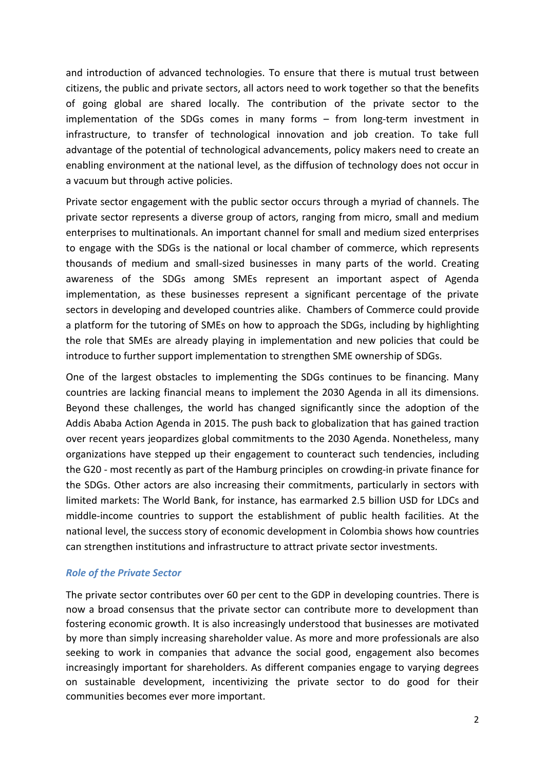and introduction of advanced technologies. To ensure that there is mutual trust between citizens, the public and private sectors, all actors need to work together so that the benefits of going global are shared locally. The contribution of the private sector to the implementation of the SDGs comes in many forms – from long-term investment in infrastructure, to transfer of technological innovation and job creation. To take full advantage of the potential of technological advancements, policy makers need to create an enabling environment at the national level, as the diffusion of technology does not occur in a vacuum but through active policies.

Private sector engagement with the public sector occurs through a myriad of channels. The private sector represents a diverse group of actors, ranging from micro, small and medium enterprises to multinationals. An important channel for small and medium sized enterprises to engage with the SDGs is the national or local chamber of commerce, which represents thousands of medium and small-sized businesses in many parts of the world. Creating awareness of the SDGs among SMEs represent an important aspect of Agenda implementation, as these businesses represent a significant percentage of the private sectors in developing and developed countries alike. Chambers of Commerce could provide a platform for the tutoring of SMEs on how to approach the SDGs, including by highlighting the role that SMEs are already playing in implementation and new policies that could be introduce to further support implementation to strengthen SME ownership of SDGs.

One of the largest obstacles to implementing the SDGs continues to be financing. Many countries are lacking financial means to implement the 2030 Agenda in all its dimensions. Beyond these challenges, the world has changed significantly since the adoption of the Addis Ababa Action Agenda in 2015. The push back to globalization that has gained traction over recent years jeopardizes global commitments to the 2030 Agenda. Nonetheless, many organizations have stepped up their engagement to counteract such tendencies, including the G20 - most recently as part of the Hamburg principles on crowding-in private finance for the SDGs. Other actors are also increasing their commitments, particularly in sectors with limited markets: The World Bank, for instance, has earmarked 2.5 billion USD for LDCs and middle-income countries to support the establishment of public health facilities. At the national level, the success story of economic development in Colombia shows how countries can strengthen institutions and infrastructure to attract private sector investments.

#### *Role of the Private Sector*

The private sector contributes over 60 per cent to the GDP in developing countries. There is now a broad consensus that the private sector can contribute more to development than fostering economic growth. It is also increasingly understood that businesses are motivated by more than simply increasing shareholder value. As more and more professionals are also seeking to work in companies that advance the social good, engagement also becomes increasingly important for shareholders. As different companies engage to varying degrees on sustainable development, incentivizing the private sector to do good for their communities becomes ever more important.